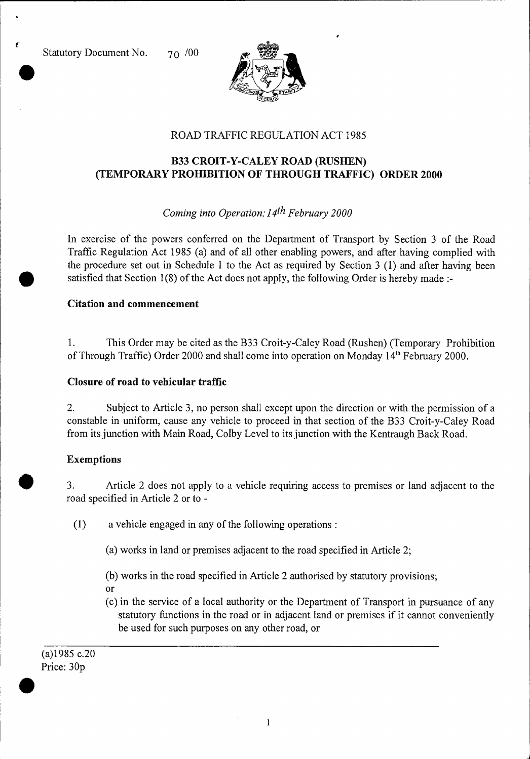Statutory Document No. 70 /00

t.



## ROAD TRAFFIC REGULATION ACT 1985

# **B33 CROIT-Y-CALEY ROAD (RUSHEN) (TEMPORARY PROHIBITION OF THROUGH TRAFFIC) ORDER 2000**

# *Coming into Operation: 14th February 2000*

In exercise of the powers conferred on the Department of Transport by Section 3 of the Road Traffic Regulation Act 1985 (a) and of all other enabling powers, and after having complied with the procedure set out in Schedule 1 to the Act as required by Section 3 (1) and after having been satisfied that Section 1(8) of the Act does not apply, the following Order is hereby made :-

### **Citation and commencement**

1. This Order may be cited as the B33 Croit-y-Caley Road (Rushen) (Temporary Prohibition of Through Traffic) Order 2000 and shall come into operation on Monday 14<sup>th</sup> February 2000.

### **Closure of road to vehicular traffic**

2. Subject to Article 3, no person shall except upon the direction or with the permission of a constable in uniform, cause any vehicle to proceed in that section of the B33 Croit-y-Caley Road from its junction with Main Road, Colby Level to its junction with the Kentraugh Back Road.

## **Exemptions**

3. Article 2 does not apply to a vehicle requiring access to premises or land adjacent to the road specified in Article 2 or to -

(1) a vehicle engaged in any of the following operations :

(a) works in land or premises adjacent to the road specified in Article 2;

(b) works in the road specified in Article 2 authorised by statutory provisions;

Or

(c) in the service of a local authority or the Department of Transport in pursuance of any statutory functions in the road or in adjacent land or premises if it cannot conveniently be used for such purposes on any other road, or

(a)1985 c.20 Price: 30p  $\bullet$